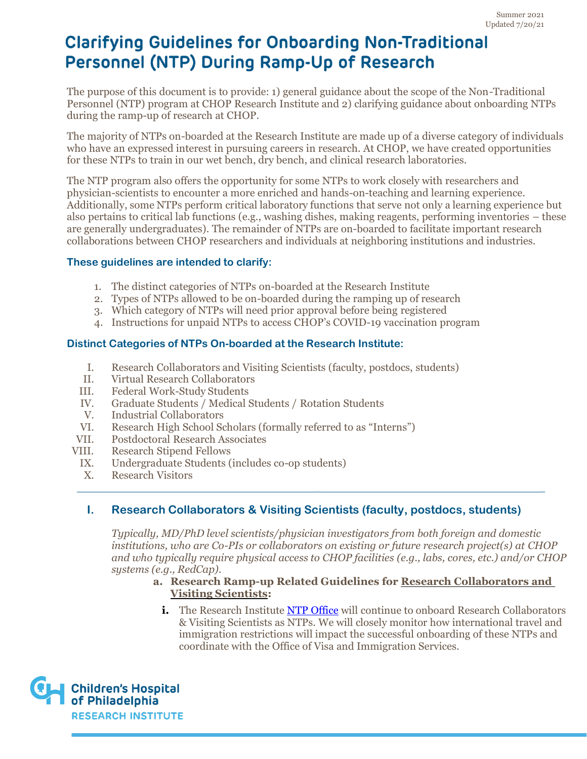The purpose of this document is to provide: 1) general guidance about the scope of the Non-Traditional Personnel (NTP) program at CHOP Research Institute and 2) clarifying guidance about onboarding NTPs during the ramp-up of research at CHOP.

The majority of NTPs on-boarded at the Research Institute are made up of a diverse category of individuals who have an expressed interest in pursuing careers in research. At CHOP, we have created opportunities for these NTPs to train in our wet bench, dry bench, and clinical research laboratories.

The NTP program also offers the opportunity for some NTPs to work closely with researchers and physician-scientists to encounter a more enriched and hands-on-teaching and learning experience. Additionally, some NTPs perform critical laboratory functions that serve not only a learning experience but also pertains to critical lab functions (e.g., washing dishes, making reagents, performing inventories – these are generally undergraduates). The remainder of NTPs are on-boarded to facilitate important research collaborations between CHOP researchers and individuals at neighboring institutions and industries.

#### **These guidelines are intended to clarify:**

- 1. The distinct categories of NTPs on-boarded at the Research Institute
- 2. Types of NTPs allowed to be on-boarded during the ramping up of research
- 3. Which category of NTPs will need prior approval before being registered
- 4. Instructions for unpaid NTPs to access CHOP's COVID-19 vaccination program

#### **Distinct Categories of NTPs On-boarded at the Research Institute:**

- I. Research Collaborators and Visiting Scientists (faculty, postdocs, students)
- II. Virtual Research Collaborators
- III. Federal Work-Study Students
- IV. Graduate Students / Medical Students / Rotation Students
- V. Industrial Collaborators
- VI. Research High School Scholars (formally referred to as "Interns")
- VII. Postdoctoral Research Associates
- VIII. Research Stipend Fellows
	- IX. Undergraduate Students (includes co-op students)
	- X. Research Visitors

## **I. Research Collaborators & Visiting Scientists (faculty, postdocs, students)**

*Typically, MD/PhD level scientists/physician investigators from both foreign and domestic institutions, who are Co-PIs or collaborators on existing or future research project(s) at CHOP and who typically require physical access to CHOP facilities (e.g., labs, cores, etc.) and/or CHOP systems (e.g., RedCap).*

#### **a. Research Ramp-up Related Guidelines for Research Collaborators and Visiting Scientists:**

**i.** The Research Institute [NTP Office](https://www.research.chop.edu/non-traditional-personnel/ntp-about) will continue to onboard Research Collaborators & Visiting Scientists as NTPs. We will closely monitor how international travel and immigration restrictions will impact the successful onboarding of these NTPs and coordinate with the Office of Visa and Immigration Services.

\_ \_

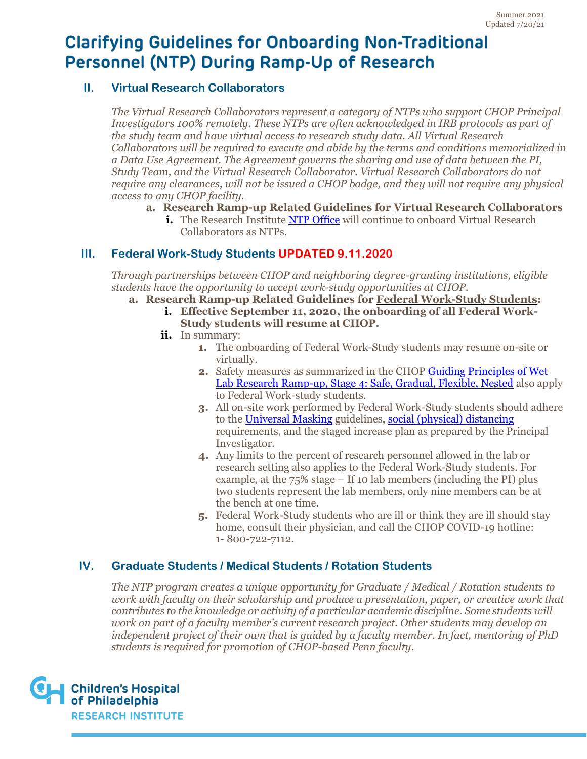### **II. Virtual Research Collaborators**

*The Virtual Research Collaborators represent a category of NTPs who support CHOP Principal Investigators 100% remotely. These NTPs are often acknowledged in IRB protocols as part of the study team and have virtual access to research study data. All Virtual Research Collaborators will be required to execute and abide by the terms and conditions memorialized in a Data Use Agreement. The Agreement governs the sharing and use of data between the PI, Study Team, and the Virtual Research Collaborator. Virtual Research Collaborators do not require any clearances, will not be issued a CHOP badge, and they will not require any physical access to any CHOP facility.*

- **a. Research Ramp-up Related Guidelines for Virtual Research Collaborators**
	- **i.** The Research Institute [NTP Office](https://www.research.chop.edu/non-traditional-personnel/ntp-about) will continue to onboard Virtual Research Collaborators as NTPs.

## **III. Federal Work-Study Students UPDATED 9.11.2020**

*Through partnerships between CHOP and neighboring degree-granting institutions, eligible students have the opportunity to accept work-study opportunities at CHOP.*

- **a. Research Ramp-up Related Guidelines for Federal Work-Study Students:**
	- **i. Effective September 11, 2020, the onboarding of all Federal Work-Study students will resume at CHOP.**
	- **ii.** In summary:
		- **1.** The onboarding of Federal Work-Study students may resume on-site or virtually.
		- **2.** Safety measures as summarized in the CHOP [Guiding Principles of Wet](https://www.research.chop.edu/sites/default/files/2021-07/Wet_Lab_Guidelines_Stage_4.pdf)  [Lab Research Ramp-up, Stage 4:](https://www.research.chop.edu/sites/default/files/2021-07/Wet_Lab_Guidelines_Stage_4.pdf) Safe, Gradual, Flexible, Nested also apply to Federal Work-study students.
		- **3.** All on-site work performed by Federal Work-Study students should adhere to the [Universal Masking](https://at.chop.edu/osmo/eop/bioresponse/_layouts/15/WopiFrame2.aspx?sourcedoc=/osmo/eop/bioresponse/Shared%20Documents1/Universal-Masking-job-aid.docx&action=default) guidelines, [social \(physical\) distancing](https://at.chop.edu/osmo/eop/bioresponse/_layouts/15/WopiFrame2.aspx?sourcedoc=/osmo/eop/bioresponse/Shared%20Documents1/Social-Distancing-Mask-Tip-Sheet.docx&action=default) requirements, and the staged increase plan as prepared by the Principal Investigator.
		- **4.** Any limits to the percent of research personnel allowed in the lab or research setting also applies to the Federal Work-Study students. For example, at the 75% stage – If 10 lab members (including the PI) plus two students represent the lab members, only nine members can be at the bench at one time.
		- **5.** Federal Work-Study students who are ill or think they are ill should stay home, consult their physician, and call the CHOP COVID-19 hotline: 1- 800-722-7112.

## **IV. Graduate Students / Medical Students / Rotation Students**

*The NTP program creates a unique opportunity for Graduate / Medical / Rotation students to work with faculty on their scholarship and produce a presentation, paper, or creative work that contributes to the knowledge or activity of a particular academic discipline. Some students will work on part of a faculty member's current research project. Other students may develop an independent project of their own that is guided by a faculty member. In fact, mentoring of PhD students is required for promotion of CHOP-based Penn faculty.*

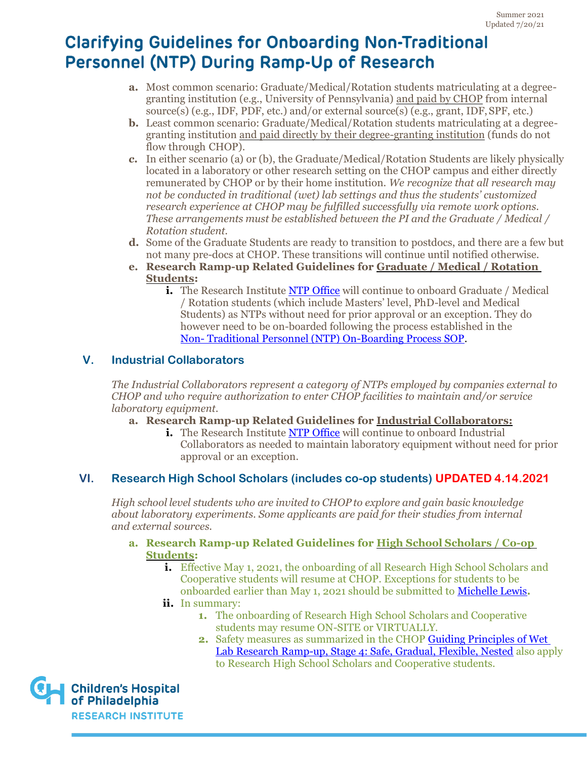- **a.** Most common scenario: Graduate/Medical/Rotation students matriculating at a degreegranting institution (e.g., University of Pennsylvania) and paid by CHOP from internal source(s) (e.g., IDF, PDF, etc.) and/or external source(s) (e.g., grant, IDF,SPF, etc.)
- **b.** Least common scenario: Graduate/Medical/Rotation students matriculating at a degreegranting institution and paid directly by their degree-granting institution (funds do not flow through CHOP).
- *c.* In either scenario (a) or (b), the Graduate/Medical/Rotation Students are likely physically located in a laboratory or other research setting on the CHOP campus and either directly remunerated by CHOP or by their home institution. *We recognize that all research may not be conducted in traditional (wet) lab settings and thus the students' customized research experience at CHOP may be fulfilled successfully via remote work options. These arrangements must be established between the PI and the Graduate / Medical / Rotation student.*
- **d.** Some of the Graduate Students are ready to transition to postdocs, and there are a few but not many pre-docs at CHOP. These transitions will continue until notified otherwise.
- **e. Research Ramp-up Related Guidelines for Graduate / Medical / Rotation Students:**
	- **i.** The Research Institute [NTP Office](https://www.research.chop.edu/non-traditional-personnel/ntp-about) will continue to onboard Graduate / Medical / Rotation students (which include Masters' level, PhD-level and Medical Students) as NTPs without need for prior approval or an exception. They do however need to be on-boarded following the process established in the Non- [Traditional Personnel \(NTP\) On-Boarding Process SOP.](https://chop.policymedical.net/policymed/anonymous/docViewer?stoken=14de2fa8-d9f5-4188-983b-29545b20809f&dtoken=19a4b084-a76a-4747-89cd-4c09ef69dbe5)

## **V. Industrial Collaborators**

*The Industrial Collaborators represent a category of NTPs employed by companies external to CHOP and who require authorization to enter CHOP facilities to maintain and/or service laboratory equipment.*

- **a. Research Ramp-up Related Guidelines for Industrial Collaborators:**
	- **i.** The Research Institute [NTP Office](https://www.research.chop.edu/non-traditional-personnel/ntp-about) will continue to onboard Industrial Collaborators as needed to maintain laboratory equipment without need for prior approval or an exception.

# **VI. Research High School Scholars (includes co-op students) UPDATED 4.14.2021**

*High school level students who are invited to CHOP to explore and gain basic knowledge about laboratory experiments. Some applicants are paid for their studies from internal and external sources.*

- **a. Research Ramp-up Related Guidelines for High School Scholars / Co-op Students:**
	- **i.** Effective May 1, 2021, the onboarding of all Research High School Scholars and Cooperative students will resume at CHOP. Exceptions for students to be onboarded earlier than May 1, 2021 should be submitted to [Michelle Lewis](mailto:mailto:lewism8@chop.edu?subject=Request%20for%20Exception%20to%20Onboard%20HS%20Student)**.**
	- **ii.** In summary:
		- **1.** The onboarding of Research High School Scholars and Cooperative students may resume ON-SITE or VIRTUALLY.
		- **2.** Safety measures as summarized in the CHOP [Guiding Principles of Wet](https://www.research.chop.edu/sites/default/files/2021-07/Wet_Lab_Guidelines_Stage_4.pdf)  [Lab Research Ramp-up, Stage 4: Safe, Gradual, Flexible, Nested](https://www.research.chop.edu/sites/default/files/2021-07/Wet_Lab_Guidelines_Stage_4.pdf) also apply to Research High School Scholars and Cooperative students.

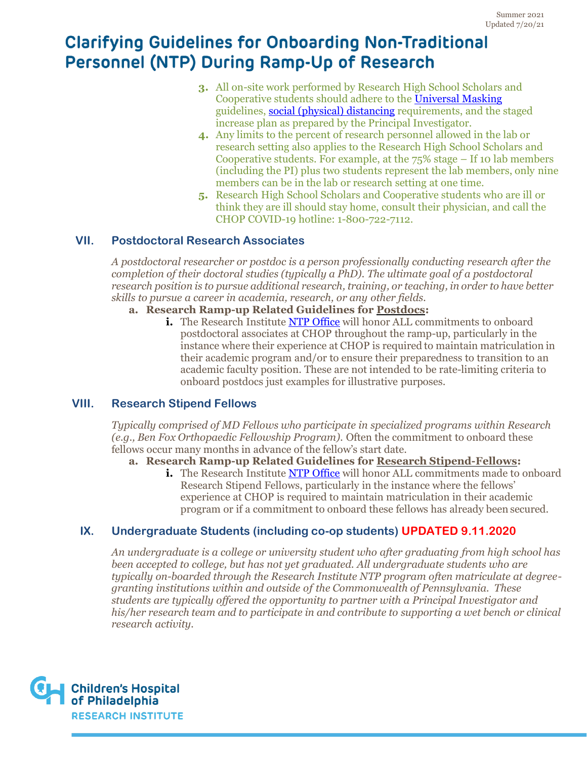- **3.** All on-site work performed by Research High School Scholars and Cooperative students should adhere to the [Universal Masking](https://at.chop.edu/osmo/eop/bioresponse/_layouts/15/WopiFrame2.aspx?sourcedoc=/osmo/eop/bioresponse/Shared%20Documents1/Universal-Masking-job-aid.docx&action=default) guidelines, [social \(physical\) distancing](https://at.chop.edu/osmo/eop/bioresponse/_layouts/15/WopiFrame2.aspx?sourcedoc=/osmo/eop/bioresponse/Shared%20Documents1/Social-Distancing-Mask-Tip-Sheet.docx&action=default) requirements, and the staged increase plan as prepared by the Principal Investigator.
- **4.** Any limits to the percent of research personnel allowed in the lab or research setting also applies to the Research High School Scholars and Cooperative students. For example, at the  $75\%$  stage – If 10 lab members (including the PI) plus two students represent the lab members, only nine members can be in the lab or research setting at one time.
- **5.** Research High School Scholars and Cooperative students who are ill or think they are ill should stay home, consult their physician, and call the CHOP COVID-19 hotline: 1-800-722-7112.

### **VII. Postdoctoral Research Associates**

*A postdoctoral researcher or postdoc is a person professionally conducting research after the completion of their doctoral studies (typically a PhD). The ultimate goal of a postdoctoral research position is to pursue additional research, training, or teaching, in order to have better skills to pursue a career in academia, research, or any other fields.*

- **a. Research Ramp-up Related Guidelines for Postdocs:**
	- **i.** The Research Institute [NTP Office](https://www.research.chop.edu/non-traditional-personnel/ntp-about) will honor ALL commitments to onboard postdoctoral associates at CHOP throughout the ramp-up, particularly in the instance where their experience at CHOP is required to maintain matriculation in their academic program and/or to ensure their preparedness to transition to an academic faculty position. These are not intended to be rate-limiting criteria to onboard postdocs just examples for illustrative purposes.

### **VIII. Research Stipend Fellows**

*Typically comprised of MD Fellows who participate in specialized programs within Research (e.g., Ben Fox Orthopaedic Fellowship Program).* Often the commitment to onboard these fellows occur many months in advance of the fellow's start date.

**a. Research Ramp-up Related Guidelines for Research Stipend-Fellows:**

**i.** The Research Institute **NTP Office** will honor ALL commitments made to onboard Research Stipend Fellows, particularly in the instance where the fellows' experience at CHOP is required to maintain matriculation in their academic program or if a commitment to onboard these fellows has already been secured.

### **IX. Undergraduate Students (including co-op students) UPDATED 9.11.2020**

*An undergraduate is a college or university student who after graduating from high school has been accepted to college, but has not yet graduated. All undergraduate students who are typically on-boarded through the Research Institute NTP program often matriculate at degreegranting institutions within and outside of the Commonwealth of Pennsylvania. These students are typically offered the opportunity to partner with a Principal Investigator and his/her research team and to participate in and contribute to supporting a wet bench or clinical research activity.*

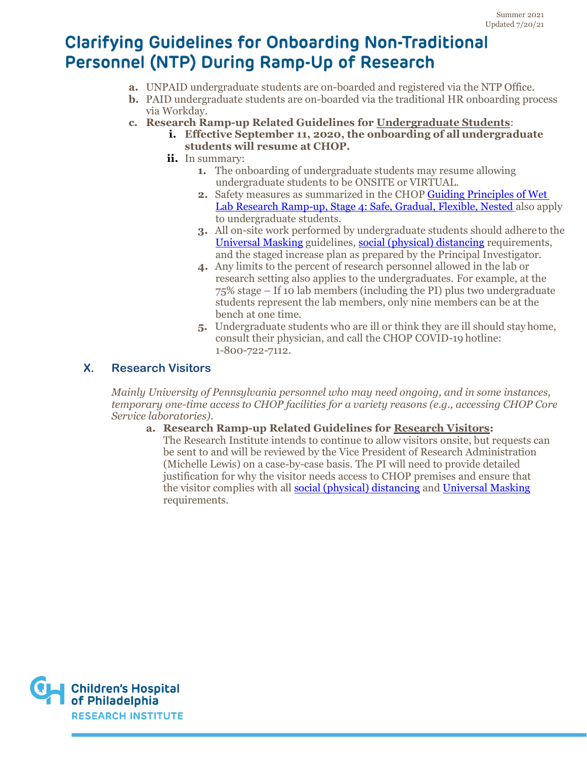- **a.** UNPAID undergraduate students are on-boarded and registered via the NTP Office.
- **b.** PAID undergraduate students are on-boarded via the traditional HR onboarding process via Workday.
- **c. Research Ramp-up Related Guidelines for Undergraduate Students**:
	- **i. Effective September 11, 2020, the onboarding of all undergraduate students will resume at CHOP.**
	- **ii.** In summary:
		- **1.** The onboarding of undergraduate students may resume allowing undergraduate students to be ONSITE or VIRTUAL.
		- **2.** Safety measures as summarized in the CHOP [Guiding Principles of Wet](https://www.research.chop.edu/sites/default/files/2021-07/Wet_Lab_Guidelines_Stage_4.pdf)  [Lab Research Ramp-up, Stage 4: Safe, Gradual, Flexible, Nested](https://www.research.chop.edu/sites/default/files/2021-07/Wet_Lab_Guidelines_Stage_4.pdf) also apply to undergraduate students.
		- **3.** All on-site work performed by undergraduate students should adhere to the [Universal Masking](https://at.chop.edu/osmo/eop/bioresponse/_layouts/15/WopiFrame2.aspx?sourcedoc=/osmo/eop/bioresponse/Shared%20Documents1/Universal-Masking-job-aid.docx&action=default) guidelines, [social \(physical\) distancing](https://at.chop.edu/osmo/eop/bioresponse/_layouts/15/WopiFrame2.aspx?sourcedoc=/osmo/eop/bioresponse/Shared%20Documents1/Social-Distancing-Mask-Tip-Sheet.docx&action=default) requirements, and the staged increase plan as prepared by the Principal Investigator.
		- **4.** Any limits to the percent of research personnel allowed in the lab or research setting also applies to the undergraduates. For example, at the 75% stage – If 10 lab members (including the PI) plus two undergraduate students represent the lab members, only nine members can be at the bench at one time.
		- **5.** Undergraduate students who are ill or think they are ill should stay home, consult their physician, and call the CHOP COVID-19 hotline: 1-800-722-7112.

## **X. Research Visitors**

*Mainly University of Pennsylvania personnel who may need ongoing, and in some instances, temporary one-time access to CHOP facilities for a variety reasons (e.g., accessing CHOP Core Service laboratories).*

**a. Research Ramp-up Related Guidelines for Research Visitors:** The Research Institute intends to continue to allow visitors onsite, but requests can be sent to and will be reviewed by the Vice President of Research Administration (Michelle Lewis) on a case-by-case basis. The PI will need to provide detailed justification for why the visitor needs access to CHOP premises and ensure that the visitor complies with all [social \(physical\) distancing](https://at.chop.edu/osmo/eop/bioresponse/_layouts/15/WopiFrame2.aspx?sourcedoc=/osmo/eop/bioresponse/Shared%20Documents1/Social-Distancing-Mask-Tip-Sheet.docx&action=default) and [Universal Masking](https://at.chop.edu/osmo/eop/bioresponse/_layouts/15/WopiFrame2.aspx?sourcedoc=/osmo/eop/bioresponse/Shared%20Documents1/Universal-Masking-job-aid.docx&action=default) requirements.

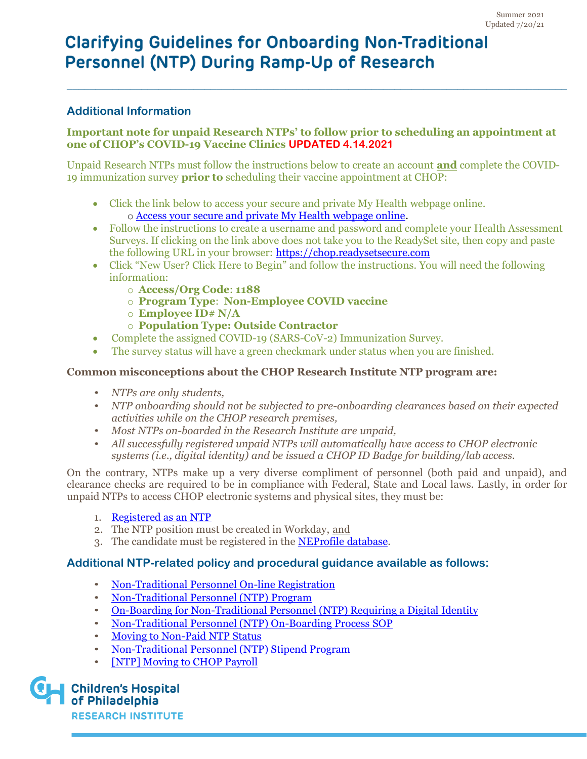## **Additional Information**

#### **Important note for unpaid Research NTPs' to follow prior to scheduling an appointment at one of CHOP's COVID-19 Vaccine Clinics UPDATED 4.14.2021**

**\_\_\_\_\_\_\_\_\_\_\_\_\_\_\_\_\_\_\_\_\_\_\_\_\_\_\_\_\_\_\_\_\_\_\_\_\_\_\_\_\_\_\_\_\_\_\_\_\_\_\_\_\_\_\_\_\_\_\_\_\_\_\_\_\_\_\_\_\_\_\_\_\_\_\_\_\_\_\_\_\_\_\_\_\_\_\_**

Unpaid Research NTPs must follow the instructions below to create an account **and** complete the COVID-19 immunization survey **prior to** scheduling their vaccine appointment at CHOP:

- Click the link below to access your secure and private My Health webpage online. o [Access your secure and private My Health webpage online.](https://chop.readysetsecure.com/)
- Follow the instructions to create a username and password and complete your Health Assessment Surveys. If clicking on the link above does not take you to the ReadySet site, then copy and paste the following URL in your browser: [https://chop.readysetsecure.com](https://chop.readysetsecure.com/)
- Click "New User? Click Here to Begin" and follow the instructions. You will need the following information:
	- o **Access/Org Code**: **1188**
	- o **Program Type**: **Non-Employee COVID vaccine**
	- o **Employee ID**# **N/A**
	- o **Population Type: Outside Contractor**
- Complete the assigned COVID-19 (SARS-CoV-2) Immunization Survey.
- The survey status will have a green checkmark under status when you are finished.

#### **Common misconceptions about the CHOP Research Institute NTP program are:**

- *NTPs are only students,*
- *NTP onboarding should not be subjected to pre-onboarding clearances based on their expected activities while on the CHOP research premises,*
- *Most NTPs on-boarded in the Research Institute are unpaid,*
- *All successfully registered unpaid NTPs will automatically have access to CHOP electronic systems (i.e., digital identity) and be issued a CHOP ID Badge for building/lab access.*

On the contrary, NTPs make up a very diverse compliment of personnel (both paid and unpaid), and clearance checks are required to be in compliance with Federal, State and Local laws. Lastly, in order for unpaid NTPs to access CHOP electronic systems and physical sites, they must be:

- 1. [Registered as an](https://at.chop.edu/research/ntp/quick-links/request-for-non-traditional-personnel-registration) NTP
- 2. The NTP position must be created in Workday, and
- 3. The candidate must be registered in the [NEProfile](https://at.chop.edu/finance/galileo/Pages/NEP.aspx) database.

### **Additional NTP-related policy and procedural guidance available as follows:**

- [Non-Traditional Personnel On-line](https://at.chop.edu/research/ntp/quick-links/request-for-non-traditional-personnel-registration) Registration
- [Non-Traditional Personnel \(NTP\)](https://chop.policymedical.net/policymed/anonymous/docViewer?stoken=14de2fa8-d9f5-4188-983b-29545b20809f&dtoken=0e6ea799-9dc0-4fb7-9d15-d4b11ce31344) Program
- [On-Boarding for Non-Traditional Personnel \(NTP\) Requiring a Digital](https://chop.policymedical.net/policymed/anonymous/docViewer?stoken=14de2fa8-d9f5-4188-983b-29545b20809f&dtoken=433f0971-b8a5-422e-a586-47da72596047) Identity
- [Non-Traditional Personnel \(NTP\) On-Boarding Process](https://chop.policymedical.net/policymed/anonymous/docViewer?stoken=14de2fa8-d9f5-4188-983b-29545b20809f&dtoken=19a4b084-a76a-4747-89cd-4c09ef69dbe5) SOP
- [Moving to Non-Paid NTP](https://chop.policymedical.net/policymed/anonymous/docViewer?stoken=14de2fa8-d9f5-4188-983b-29545b20809f&dtoken=16bf5c8b-e531-4064-8e7e-5bfa1b7cf06c) Status
- [Non-Traditional Personnel \(NTP\) Stipend](https://chop.policymedical.net/policymed/anonymous/docViewer?stoken=14de2fa8-d9f5-4188-983b-29545b20809f&dtoken=4d8268a0-8469-43bb-a126-1bdf035c213c) Program
- [\[NTP\] Moving to CHOP](https://chop.policymedical.net/policymed/anonymous/docViewer?stoken=14de2fa8-d9f5-4188-983b-29545b20809f&dtoken=0e49487e-d22f-4602-a95a-bcefeb1c447a) Payroll

**Children's Hospital** of Philadelphia

**RESEARCH INSTITUTE**